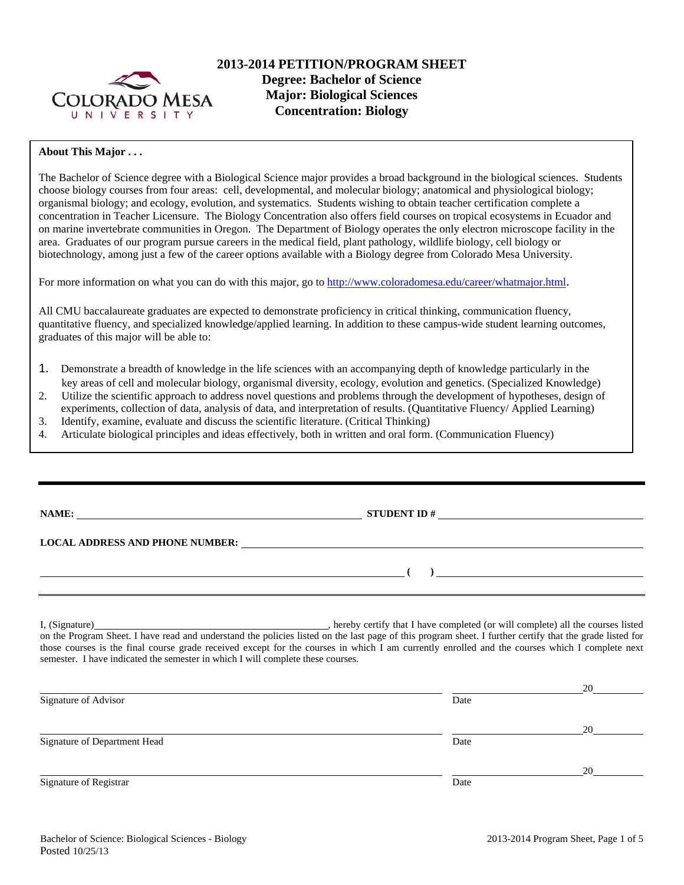

## **About This Major . . .**

The Bachelor of Science degree with a Biological Science major provides a broad background in the biological sciences. Students choose biology courses from four areas: cell, developmental, and molecular biology; anatomical and physiological biology; organismal biology; and ecology, evolution, and systematics. Students wishing to obtain teacher certification complete a concentration in Teacher Licensure. The Biology Concentration also offers field courses on tropical ecosystems in Ecuador and on marine invertebrate communities in Oregon. The Department of Biology operates the only electron microscope facility in the area. Graduates of our program pursue careers in the medical field, plant pathology, wildlife biology, cell biology or biotechnology, among just a few of the career options available with a Biology degree from Colorado Mesa University.

For more information on what you can do with this major, go to http://www.coloradomesa.edu/career/whatmajor.html.

All CMU baccalaureate graduates are expected to demonstrate proficiency in critical thinking, communication fluency, quantitative fluency, and specialized knowledge/applied learning. In addition to these campus-wide student learning outcomes, graduates of this major will be able to:

- 1. Demonstrate a breadth of knowledge in the life sciences with an accompanying depth of knowledge particularly in the key areas of cell and molecular biology, organismal diversity, ecology, evolution and genetics. (Specialized Knowledge)
- 2. Utilize the scientific approach to address novel questions and problems through the development of hypotheses, design of
- experiments, collection of data, analysis of data, and interpretation of results. (Quantitative Fluency/ Applied Learning)
- 3. Identify, examine, evaluate and discuss the scientific literature. (Critical Thinking)
- 4. Articulate biological principles and ideas effectively, both in written and oral form. (Communication Fluency)

| NAME:                                  | <b>STUDENT ID#</b><br><u> 1980 - Jan Stein Stein Stein Stein Stein Stein Stein Stein Stein Stein Stein Stein Stein Stein Stein Stein S</u>                                                                                           |
|----------------------------------------|--------------------------------------------------------------------------------------------------------------------------------------------------------------------------------------------------------------------------------------|
| <b>LOCAL ADDRESS AND PHONE NUMBER:</b> | <u>and the control of the control of the control of the control of the control of the control of the control of the control of the control of the control of the control of the control of the control of the control of the con</u> |
|                                        |                                                                                                                                                                                                                                      |

I, (Signature) , hereby certify that I have completed (or will complete) all the courses listed on the Program Sheet. I have read and understand the policies listed on the last page of this program sheet. I further certify that the grade listed for those courses is the final course grade received except for the courses in which I am currently enrolled and the courses which I complete next semester. I have indicated the semester in which I will complete these courses.

| Signature of Advisor         | Date | 20 |
|------------------------------|------|----|
|                              |      | 20 |
| Signature of Department Head | Date |    |
|                              |      | 20 |
| Signature of Registrar       | Date |    |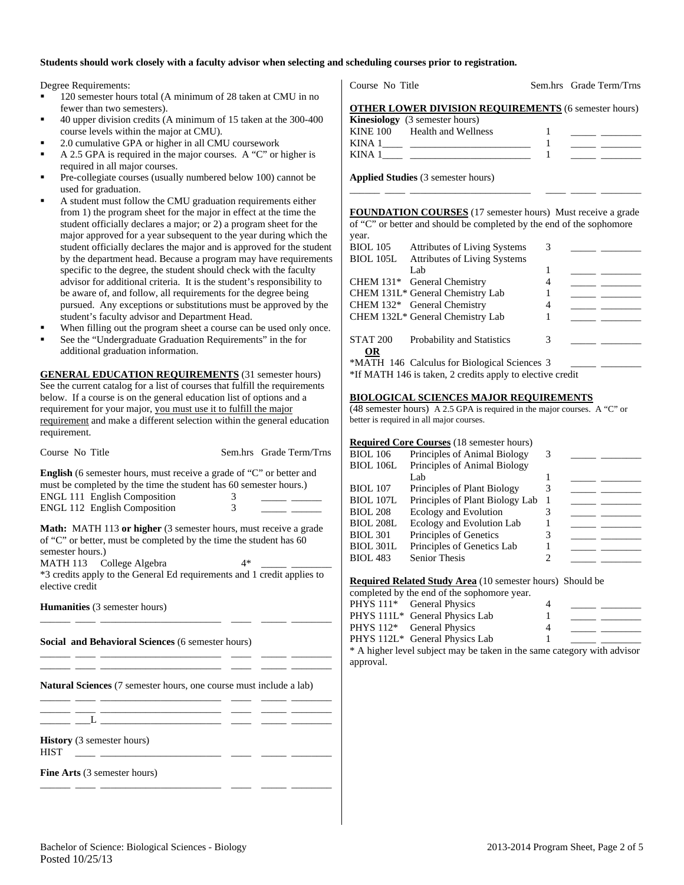### **Students should work closely with a faculty advisor when selecting and scheduling courses prior to registration.**

Degree Requirements:

- 120 semester hours total (A minimum of 28 taken at CMU in no fewer than two semesters).
- 40 upper division credits (A minimum of 15 taken at the 300-400 course levels within the major at CMU).
- 2.0 cumulative GPA or higher in all CMU coursework
- A 2.5 GPA is required in the major courses. A "C" or higher is required in all major courses.
- Pre-collegiate courses (usually numbered below 100) cannot be used for graduation.
- A student must follow the CMU graduation requirements either from 1) the program sheet for the major in effect at the time the student officially declares a major; or 2) a program sheet for the major approved for a year subsequent to the year during which the student officially declares the major and is approved for the student by the department head. Because a program may have requirements specific to the degree, the student should check with the faculty advisor for additional criteria. It is the student's responsibility to be aware of, and follow, all requirements for the degree being pursued. Any exceptions or substitutions must be approved by the student's faculty advisor and Department Head.
- When filling out the program sheet a course can be used only once.
- See the "Undergraduate Graduation Requirements" in the for additional graduation information.

**GENERAL EDUCATION REQUIREMENTS** (31 semester hours) See the current catalog for a list of courses that fulfill the requirements below. If a course is on the general education list of options and a requirement for your major, you must use it to fulfill the major requirement and make a different selection within the general education requirement.

| Course No Title                                                                                                                                                                                                                          |      | Sem.hrs Grade Term/Trns |  |  |  |  |  |  |
|------------------------------------------------------------------------------------------------------------------------------------------------------------------------------------------------------------------------------------------|------|-------------------------|--|--|--|--|--|--|
| <b>English</b> (6 semester hours, must receive a grade of "C" or better and<br>must be completed by the time the student has 60 semester hours.)<br><b>ENGL 111 English Composition</b><br>3<br>3<br><b>ENGL 112 English Composition</b> |      |                         |  |  |  |  |  |  |
| <b>Math:</b> MATH 113 or higher (3 semester hours, must receive a grade<br>of "C" or better, must be completed by the time the student has 60<br>semester hours.)                                                                        |      |                         |  |  |  |  |  |  |
| MATH 113 College Algebra<br>*3 credits apply to the General Ed requirements and 1 credit applies to<br>elective credit                                                                                                                   | $4*$ |                         |  |  |  |  |  |  |
| <b>Humanities</b> (3 semester hours)                                                                                                                                                                                                     |      |                         |  |  |  |  |  |  |
| Social and Behavioral Sciences (6 semester hours)                                                                                                                                                                                        |      |                         |  |  |  |  |  |  |
| <b>Natural Sciences</b> (7 semester hours, one course must include a lab)                                                                                                                                                                |      |                         |  |  |  |  |  |  |
| <u> 1986 - Johann John Stein, markin fan it ferstjer fan it ferstjer fan it ferstjer fan it ferstjer fan it fers</u><br>$\begin{tabular}{ c c c c } \hline $L$ & \quad \quad & \quad \quad & \quad \quad \\ \hline \end{tabular}$        |      |                         |  |  |  |  |  |  |
| <b>History</b> (3 semester hours)<br><b>HIST</b>                                                                                                                                                                                         |      |                         |  |  |  |  |  |  |
| <b>Fine Arts</b> (3 semester hours)                                                                                                                                                                                                      |      |                         |  |  |  |  |  |  |

Course No Title Sem.hrs Grade Term/Trns

|  |                                        |  |  | <b>OTHER LOWER DIVISION REQUIREMENTS (6 semester hours)</b> |  |  |
|--|----------------------------------------|--|--|-------------------------------------------------------------|--|--|
|  | <b>TTO OFFICIAL CONTRACT AND STATE</b> |  |  |                                                             |  |  |

|          | <b>Kinesiology</b> (3 semester hours) |  |
|----------|---------------------------------------|--|
| KINE 100 | Health and Wellness                   |  |
| KINA 1   |                                       |  |
| KINA.    |                                       |  |

**Applied Studies** (3 semester hours)

**FOUNDATION COURSES** (17 semester hours) Must receive a grade of "C" or better and should be completed by the end of the sophomore year.

\_\_\_\_\_\_ \_\_\_\_ \_\_\_\_\_\_\_\_\_\_\_\_\_\_\_\_\_\_\_\_\_\_\_\_ \_\_\_\_ \_\_\_\_\_ \_\_\_\_\_\_\_\_

| <b>BIOL</b> 105              | <b>Attributes of Living Systems</b>                                                                       | 3 |  |
|------------------------------|-----------------------------------------------------------------------------------------------------------|---|--|
| <b>BIOL 105L</b>             | <b>Attributes of Living Systems</b>                                                                       |   |  |
|                              | Lab                                                                                                       |   |  |
|                              | CHEM 131* General Chemistry                                                                               |   |  |
|                              | CHEM 131L* General Chemistry Lab                                                                          |   |  |
|                              | CHEM 132* General Chemistry                                                                               | 4 |  |
|                              | CHEM 132L* General Chemistry Lab                                                                          |   |  |
| <b>STAT 200</b><br><b>OR</b> | Probability and Statistics                                                                                | 3 |  |
|                              | *MATH 146 Calculus for Biological Sciences 3<br>*If MATH 146 is taken, 2 credits apply to elective credit |   |  |

## **BIOLOGICAL SCIENCES MAJOR REQUIREMENTS**

(48 semester hours) A 2.5 GPA is required in the major courses. A "C" or better is required in all major courses.

| <b>Required Core Courses</b> (18 semester hours) |  |  |  |
|--------------------------------------------------|--|--|--|
|--------------------------------------------------|--|--|--|

| <b>BIOL</b> 106  | Principles of Animal Biology    | 3 |  |
|------------------|---------------------------------|---|--|
| <b>BIOL 106L</b> | Principles of Animal Biology    |   |  |
|                  | Lab                             |   |  |
| <b>BIOL</b> 107  | Principles of Plant Biology     | 3 |  |
| <b>BIOL 107L</b> | Principles of Plant Biology Lab |   |  |
| <b>BIOL 208</b>  | Ecology and Evolution           |   |  |
| <b>BIOL 208L</b> | Ecology and Evolution Lab       |   |  |
| <b>BIOL 301</b>  | Principles of Genetics          | 3 |  |
| <b>BIOL 301L</b> | Principles of Genetics Lab      |   |  |
| <b>BIOL 483</b>  | <b>Senior Thesis</b>            |   |  |
|                  |                                 |   |  |

**Required Related Study Area** (10 semester hours) Should be

completed by the end of the sophomore year.

| PHYS 111 <sup>*</sup> General Physics |  |  |
|---------------------------------------|--|--|
| PHYS 111L* General Physics Lab        |  |  |
| PHYS 112 <sup>*</sup> General Physics |  |  |
| PHYS 112L* General Physics Lab        |  |  |

\* A higher level subject may be taken in the same category with advisor approval.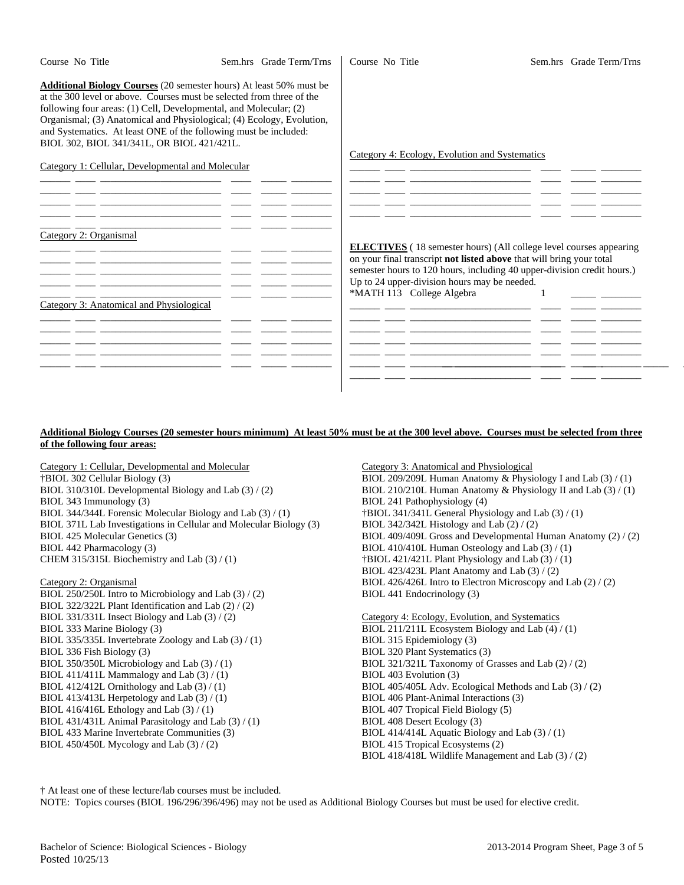| Course No Title                                                                                                                                                                                                                                                                                                                                                                                              | Sem.hrs Grade Term/Trns | Course No Title                                | Sem.hrs Grade Term/Trns                                                                                                                                                                                                      |
|--------------------------------------------------------------------------------------------------------------------------------------------------------------------------------------------------------------------------------------------------------------------------------------------------------------------------------------------------------------------------------------------------------------|-------------------------|------------------------------------------------|------------------------------------------------------------------------------------------------------------------------------------------------------------------------------------------------------------------------------|
| Additional Biology Courses (20 semester hours) At least 50% must be<br>at the 300 level or above. Courses must be selected from three of the<br>following four areas: (1) Cell, Developmental, and Molecular; (2)<br>Organismal; (3) Anatomical and Physiological; (4) Ecology, Evolution,<br>and Systematics. At least ONE of the following must be included:<br>BIOL 302, BIOL 341/341L, OR BIOL 421/421L. |                         |                                                |                                                                                                                                                                                                                              |
|                                                                                                                                                                                                                                                                                                                                                                                                              |                         | Category 4: Ecology, Evolution and Systematics |                                                                                                                                                                                                                              |
| Category 1: Cellular, Developmental and Molecular                                                                                                                                                                                                                                                                                                                                                            |                         |                                                |                                                                                                                                                                                                                              |
|                                                                                                                                                                                                                                                                                                                                                                                                              |                         |                                                |                                                                                                                                                                                                                              |
|                                                                                                                                                                                                                                                                                                                                                                                                              |                         |                                                |                                                                                                                                                                                                                              |
|                                                                                                                                                                                                                                                                                                                                                                                                              |                         |                                                |                                                                                                                                                                                                                              |
|                                                                                                                                                                                                                                                                                                                                                                                                              |                         |                                                |                                                                                                                                                                                                                              |
| Category 2: Organismal                                                                                                                                                                                                                                                                                                                                                                                       |                         | Up to 24 upper-division hours may be needed.   | <b>ELECTIVES</b> (18 semester hours) (All college level courses appearing<br>on your final transcript not listed above that will bring your total<br>semester hours to 120 hours, including 40 upper-division credit hours.) |
| Category 3: Anatomical and Physiological                                                                                                                                                                                                                                                                                                                                                                     |                         | *MATH 113 College Algebra                      |                                                                                                                                                                                                                              |
|                                                                                                                                                                                                                                                                                                                                                                                                              |                         |                                                |                                                                                                                                                                                                                              |
|                                                                                                                                                                                                                                                                                                                                                                                                              |                         |                                                |                                                                                                                                                                                                                              |
|                                                                                                                                                                                                                                                                                                                                                                                                              |                         |                                                |                                                                                                                                                                                                                              |
|                                                                                                                                                                                                                                                                                                                                                                                                              |                         |                                                |                                                                                                                                                                                                                              |
|                                                                                                                                                                                                                                                                                                                                                                                                              |                         |                                                |                                                                                                                                                                                                                              |
|                                                                                                                                                                                                                                                                                                                                                                                                              |                         |                                                |                                                                                                                                                                                                                              |

#### **Additional Biology Courses (20 semester hours minimum) At least 50% must be at the 300 level above. Courses must be selected from three of the following four areas:**

Category 1: Cellular, Developmental and Molecular †BIOL 302 Cellular Biology (3) BIOL 310/310L Developmental Biology and Lab (3) / (2) BIOL 343 Immunology (3) BIOL 344/344L Forensic Molecular Biology and Lab (3) / (1) BIOL 371L Lab Investigations in Cellular and Molecular Biology (3) BIOL 425 Molecular Genetics (3) BIOL 442 Pharmacology (3) CHEM 315/315L Biochemistry and Lab (3) / (1)

Category 2: Organismal

BIOL 250/250L Intro to Microbiology and Lab (3) / (2) BIOL 322/322L Plant Identification and Lab (2) / (2) BIOL 331/331L Insect Biology and Lab (3) / (2) BIOL 333 Marine Biology (3) BIOL 335/335L Invertebrate Zoology and Lab (3) / (1) BIOL 336 Fish Biology (3) BIOL 350/350L Microbiology and Lab (3) / (1) BIOL 411/411L Mammalogy and Lab  $(3) / (1)$ BIOL 412/412L Ornithology and Lab (3) / (1) BIOL 413/413L Herpetology and Lab (3) / (1) BIOL 416/416L Ethology and Lab (3) / (1) BIOL 431/431L Animal Parasitology and Lab (3) / (1) BIOL 433 Marine Invertebrate Communities (3) BIOL 450/450L Mycology and Lab (3) / (2)

Category 3: Anatomical and Physiological BIOL 209/209L Human Anatomy & Physiology I and Lab (3) / (1) BIOL 210/210L Human Anatomy & Physiology II and Lab (3) / (1) BIOL 241 Pathophysiology (4) †BIOL 341/341L General Physiology and Lab (3) / (1) BIOL 342/342L Histology and Lab  $(2) / (2)$ BIOL 409/409L Gross and Developmental Human Anatomy (2) / (2) BIOL 410/410L Human Osteology and Lab (3) / (1) †BIOL 421/421L Plant Physiology and Lab (3) / (1) BIOL 423/423L Plant Anatomy and Lab (3) / (2) BIOL 426/426L Intro to Electron Microscopy and Lab (2) / (2) BIOL 441 Endocrinology (3)

Category 4: Ecology, Evolution, and Systematics BIOL 211/211L Ecosystem Biology and Lab (4) / (1) BIOL 315 Epidemiology (3) BIOL 320 Plant Systematics (3) BIOL 321/321L Taxonomy of Grasses and Lab (2) / (2) BIOL 403 Evolution (3) BIOL 405/405L Adv. Ecological Methods and Lab (3) / (2) BIOL 406 Plant-Animal Interactions (3) BIOL 407 Tropical Field Biology (5) BIOL 408 Desert Ecology (3) BIOL 414/414L Aquatic Biology and Lab (3) / (1) BIOL 415 Tropical Ecosystems (2) BIOL 418/418L Wildlife Management and Lab (3) / (2)

† At least one of these lecture/lab courses must be included.

NOTE: Topics courses (BIOL 196/296/396/496) may not be used as Additional Biology Courses but must be used for elective credit.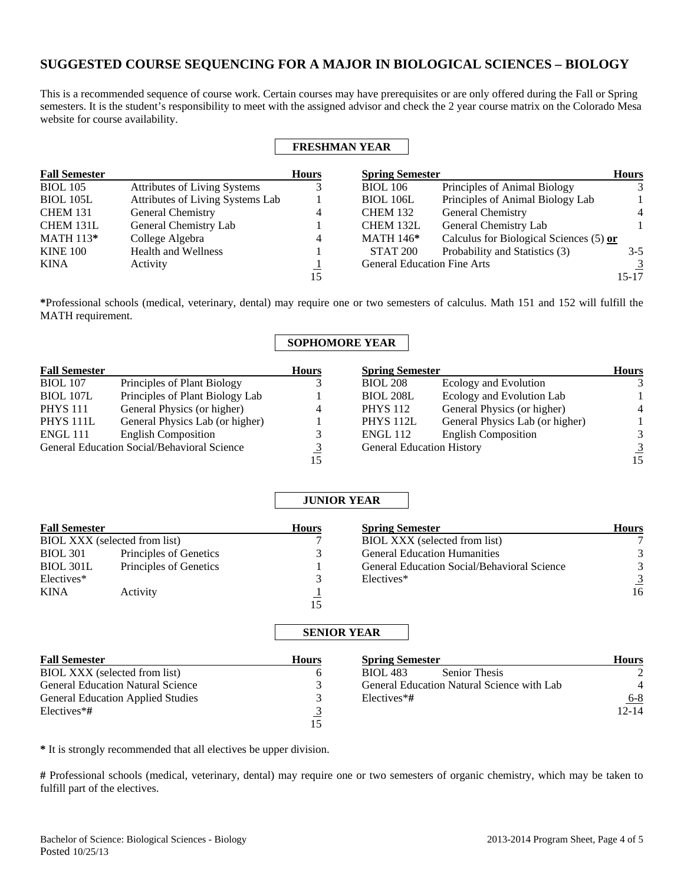# **SUGGESTED COURSE SEQUENCING FOR A MAJOR IN BIOLOGICAL SCIENCES – BIOLOGY**

This is a recommended sequence of course work. Certain courses may have prerequisites or are only offered during the Fall or Spring semesters. It is the student's responsibility to meet with the assigned advisor and check the 2 year course matrix on the Colorado Mesa website for course availability.

 $\mathbf{r}$ 

Г

|                      |                                  |              | <b>FRESHMAN YEAR</b>               |                                         |                |
|----------------------|----------------------------------|--------------|------------------------------------|-----------------------------------------|----------------|
| <b>Fall Semester</b> |                                  | <b>Hours</b> | <b>Spring Semester</b>             |                                         | <b>Hours</b>   |
| <b>BIOL</b> 105      | Attributes of Living Systems     |              | <b>BIOL</b> 106                    | Principles of Animal Biology            | 3              |
| <b>BIOL</b> 105L     | Attributes of Living Systems Lab |              | <b>BIOL 106L</b>                   | Principles of Animal Biology Lab        |                |
| <b>CHEM 131</b>      | General Chemistry                | 4            | <b>CHEM 132</b>                    | <b>General Chemistry</b>                | $\overline{4}$ |
| CHEM 131L            | General Chemistry Lab            |              | CHEM 132L                          | General Chemistry Lab                   |                |
| <b>MATH 113*</b>     | College Algebra                  | 4            | <b>MATH 146*</b>                   | Calculus for Biological Sciences (5) or |                |
| <b>KINE 100</b>      | <b>Health and Wellness</b>       |              | <b>STAT 200</b>                    | Probability and Statistics (3)          | $3-5$          |
| KINA                 | Activity                         |              | <b>General Education Fine Arts</b> |                                         | $\overline{3}$ |
|                      |                                  | 15           |                                    |                                         | 15-17          |

**\***Professional schools (medical, veterinary, dental) may require one or two semesters of calculus. Math 151 and 152 will fulfill the MATH requirement.

# **SOPHOMORE YEAR**

| <b>Fall Semester</b> |                                             | <b>Hours</b>   | <b>Spring Semester</b>           |                                 | <b>Hours</b>   |
|----------------------|---------------------------------------------|----------------|----------------------------------|---------------------------------|----------------|
| <b>BIOL</b> 107      | Principles of Plant Biology                 |                | <b>BIOL 208</b>                  | Ecology and Evolution           |                |
| <b>BIOL 107L</b>     | Principles of Plant Biology Lab             |                | <b>BIOL 208L</b>                 | Ecology and Evolution Lab       |                |
| <b>PHYS</b> 111      | General Physics (or higher)                 | $\overline{4}$ | <b>PHYS</b> 112                  | General Physics (or higher)     | $\overline{4}$ |
| PHYS <sub>111L</sub> | General Physics Lab (or higher)             |                | PHYS 112L                        | General Physics Lab (or higher) |                |
| <b>ENGL 111</b>      | <b>English Composition</b>                  |                | <b>ENGL 112</b>                  | <b>English Composition</b>      |                |
|                      | General Education Social/Behavioral Science |                | <b>General Education History</b> |                                 | 3              |
|                      |                                             | 15             |                                  |                                 | 15             |

|                               |                        |              | <b>JUNIOR YEAR</b>                          |              |
|-------------------------------|------------------------|--------------|---------------------------------------------|--------------|
| <b>Fall Semester</b>          |                        | <b>Hours</b> | <b>Spring Semester</b>                      | <b>Hours</b> |
| BIOL XXX (selected from list) |                        |              | BIOL XXX (selected from list)               |              |
| <b>BIOL 301</b>               | Principles of Genetics | 3            | <b>General Education Humanities</b>         |              |
| BIOL 301L                     | Principles of Genetics |              | General Education Social/Behavioral Science |              |
| Electives*                    |                        |              | Electives*                                  |              |
| <b>KINA</b>                   | Activity               |              |                                             | 16           |
|                               |                        | 15           |                                             |              |

# **SENIOR YEAR**

| <b>Fall Semester</b>                     | <b>Hours</b> | <b>Spring Semester</b>                     | <b>Hours</b>  |
|------------------------------------------|--------------|--------------------------------------------|---------------|
| BIOL XXX (selected from list)            |              | <b>Senior Thesis</b><br><b>BIOL</b> 483    | $\mathcal{L}$ |
| <b>General Education Natural Science</b> |              | General Education Natural Science with Lab | 4             |
| <b>General Education Applied Studies</b> |              | $Electives*#$                              | $6 - 8$       |
| Electives*#                              |              |                                            | $12 - 14$     |
|                                          | 15           |                                            |               |

**\*** It is strongly recommended that all electives be upper division.

**#** Professional schools (medical, veterinary, dental) may require one or two semesters of organic chemistry, which may be taken to fulfill part of the electives.